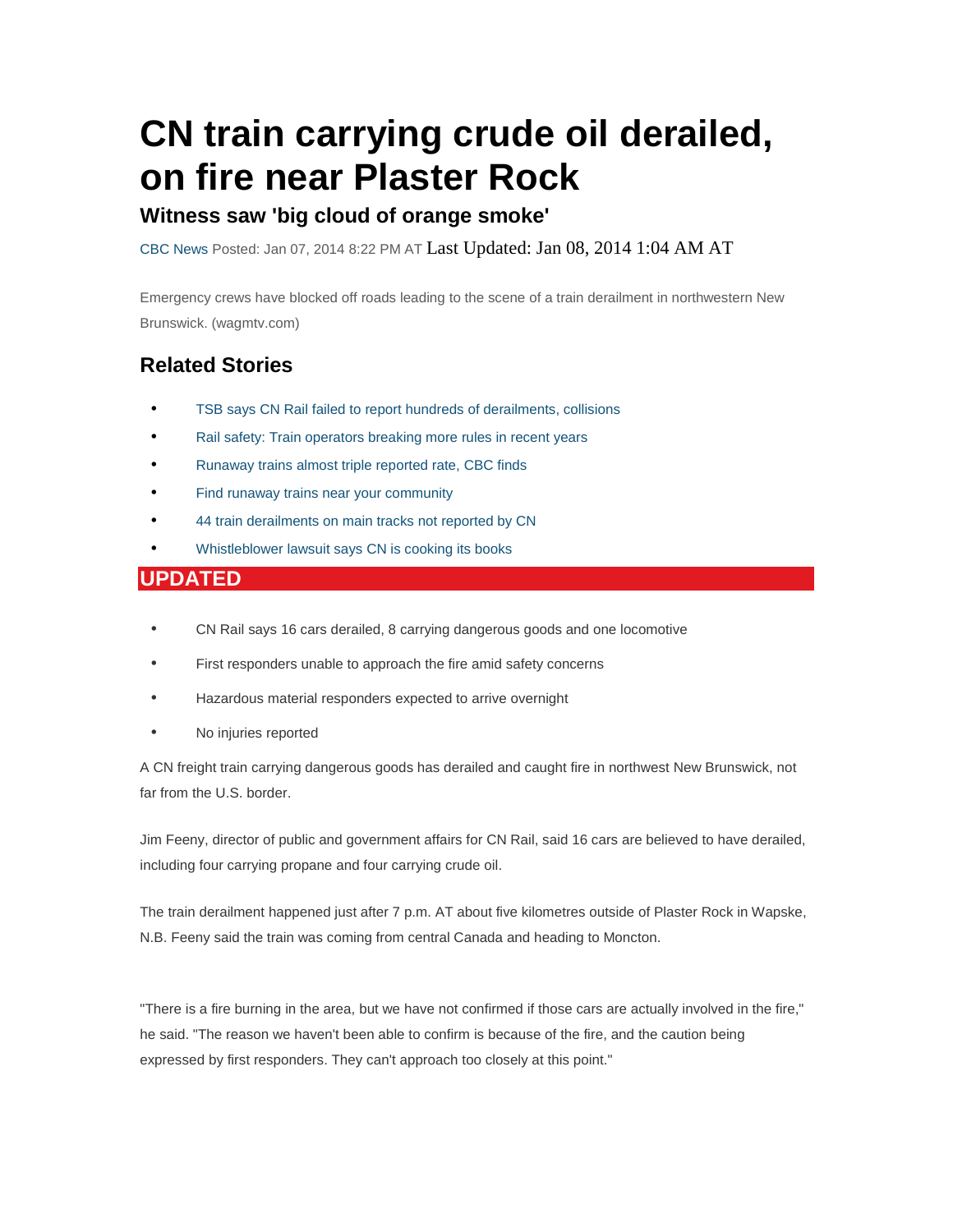# **CN train carrying crude oil derailed, on fire near Plaster Rock**

#### **Witness saw 'big cloud of orange smoke'**

CBC News Posted: Jan 07, 2014 8:22 PM AT Last Updated: Jan 08, 2014 1:04 AM AT

Emergency crews have blocked off roads leading to the scene of a train derailment in northwestern New Brunswick. (wagmtv.com)

### **Related Stories**

- TSB says CN Rail failed to report hundreds of derailments, collisions
- Rail safety: Train operators breaking more rules in recent years
- Runaway trains almost triple reported rate, CBC finds
- Find runaway trains near your community
- 44 train derailments on main tracks not reported by CN
- Whistleblower lawsuit says CN is cooking its books

#### **UPDATED**

- CN Rail says 16 cars derailed, 8 carrying dangerous goods and one locomotive
- First responders unable to approach the fire amid safety concerns
- Hazardous material responders expected to arrive overnight
- No injuries reported

A CN freight train carrying dangerous goods has derailed and caught fire in northwest New Brunswick, not far from the U.S. border.

Jim Feeny, director of public and government affairs for CN Rail, said 16 cars are believed to have derailed, including four carrying propane and four carrying crude oil.

The train derailment happened just after 7 p.m. AT about five kilometres outside of Plaster Rock in Wapske, N.B. Feeny said the train was coming from central Canada and heading to Moncton.

"There is a fire burning in the area, but we have not confirmed if those cars are actually involved in the fire," he said. "The reason we haven't been able to confirm is because of the fire, and the caution being expressed by first responders. They can't approach too closely at this point."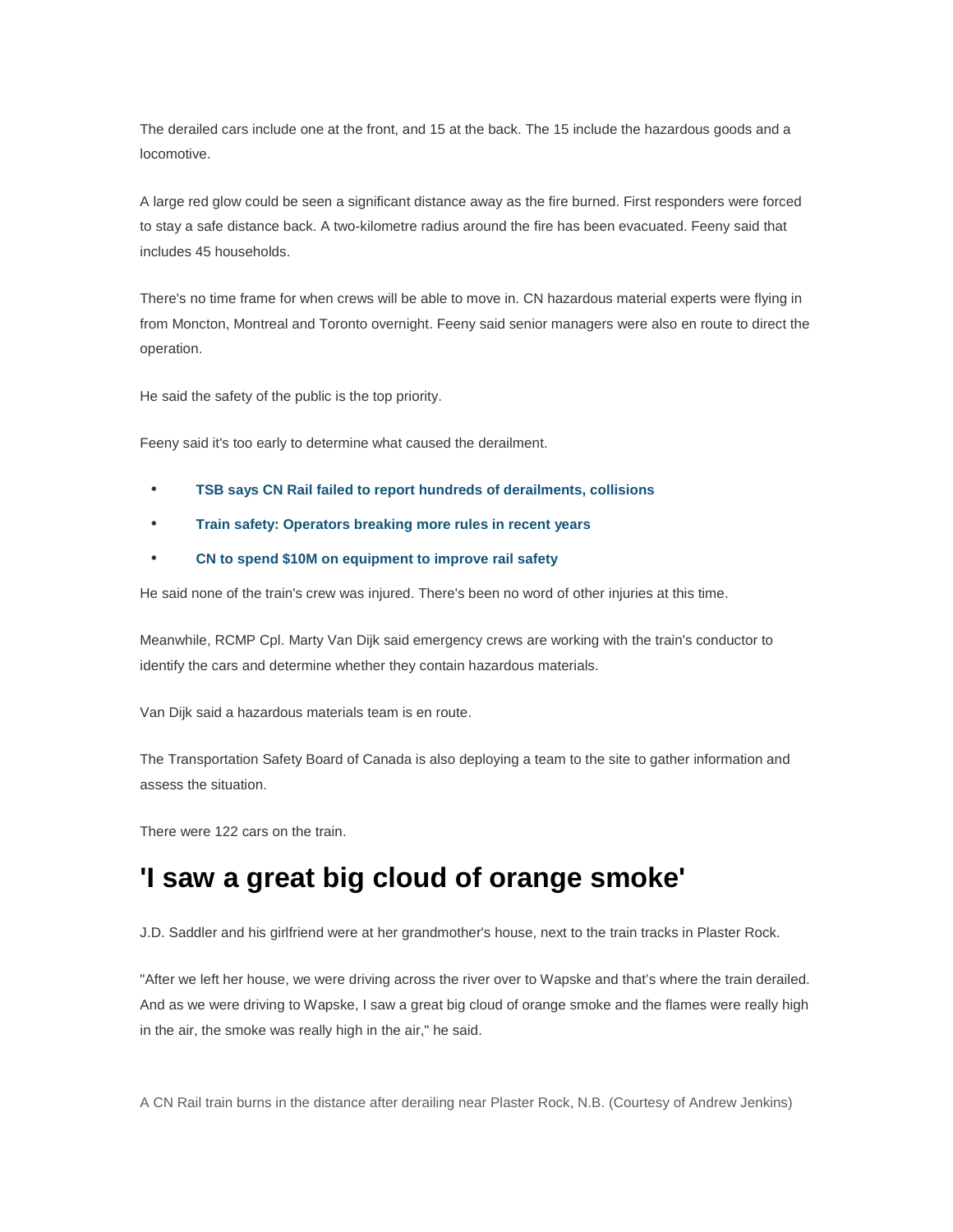The derailed cars include one at the front, and 15 at the back. The 15 include the hazardous goods and a locomotive.

A large red glow could be seen a significant distance away as the fire burned. First responders were forced to stay a safe distance back. A two-kilometre radius around the fire has been evacuated. Feeny said that includes 45 households.

There's no time frame for when crews will be able to move in. CN hazardous material experts were flying in from Moncton, Montreal and Toronto overnight. Feeny said senior managers were also en route to direct the operation.

He said the safety of the public is the top priority.

Feeny said it's too early to determine what caused the derailment.

- **TSB says CN Rail failed to report hundreds of derailments, collisions**
- **Train safety: Operators breaking more rules in recent years**
- **CN to spend \$10M on equipment to improve rail safety**

He said none of the train's crew was injured. There's been no word of other injuries at this time.

Meanwhile, RCMP Cpl. Marty Van Dijk said emergency crews are working with the train's conductor to identify the cars and determine whether they contain hazardous materials.

Van Dijk said a hazardous materials team is en route.

The Transportation Safety Board of Canada is also deploying a team to the site to gather information and assess the situation.

There were 122 cars on the train.

## **'I saw a great big cloud of orange smoke'**

J.D. Saddler and his girlfriend were at her grandmother's house, next to the train tracks in Plaster Rock.

"After we left her house, we were driving across the river over to Wapske and that's where the train derailed. And as we were driving to Wapske, I saw a great big cloud of orange smoke and the flames were really high in the air, the smoke was really high in the air," he said.

A CN Rail train burns in the distance after derailing near Plaster Rock, N.B. (Courtesy of Andrew Jenkins)